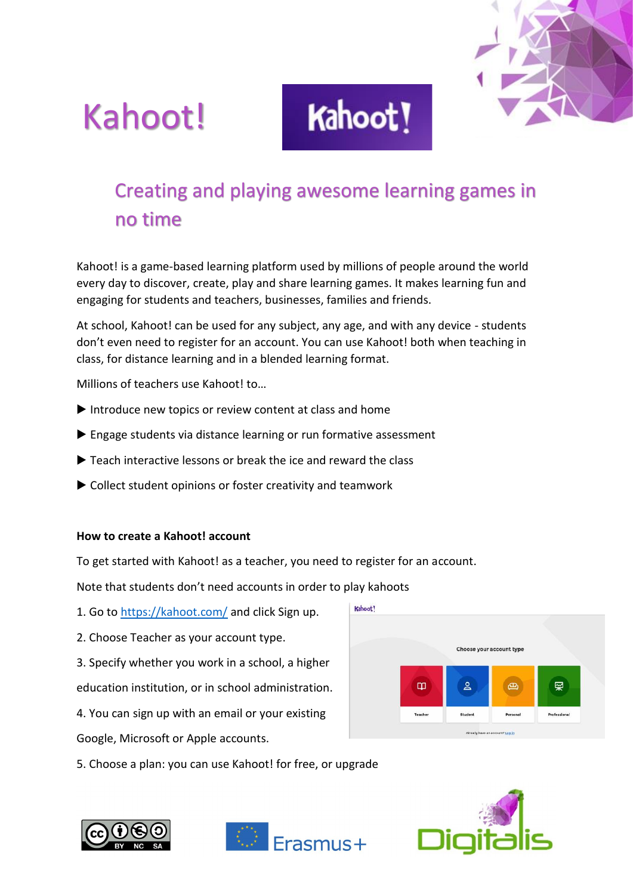



# Kahoot!

# Creating and playing awesome learning games in no time

Kahoot! is a game-based learning platform used by millions of people around the world every day to discover, create, play and share learning games. It makes learning fun and engaging for students and teachers, businesses, families and friends.

At school, Kahoot! can be used for any subject, any age, and with any device - students don't even need to register for an account. You can use Kahoot! both when teaching in class, for distance learning and in a blended learning format.

Millions of teachers use Kahoot! to…

- ▶ Introduce new topics or review content at class and home
- ▶ Engage students via distance learning or run formative assessment
- $\blacktriangleright$  Teach interactive lessons or break the ice and reward the class
- ▶ Collect student opinions or foster creativity and teamwork

# **How to create a Kahoot! account**

To get started with Kahoot! as a teacher, you need to register for an account.

Note that students don't need accounts in order to play kahoots

- 1. Go to<https://kahoot.com/> and click Sign up.
- 2. Choose Teacher as your account type.

3. Specify whether you work in a school, a higher education institution, or in school administration.

4. You can sign up with an email or your existing Google, Microsoft or Apple accounts.



5. Choose a plan: you can use Kahoot! for free, or upgrade





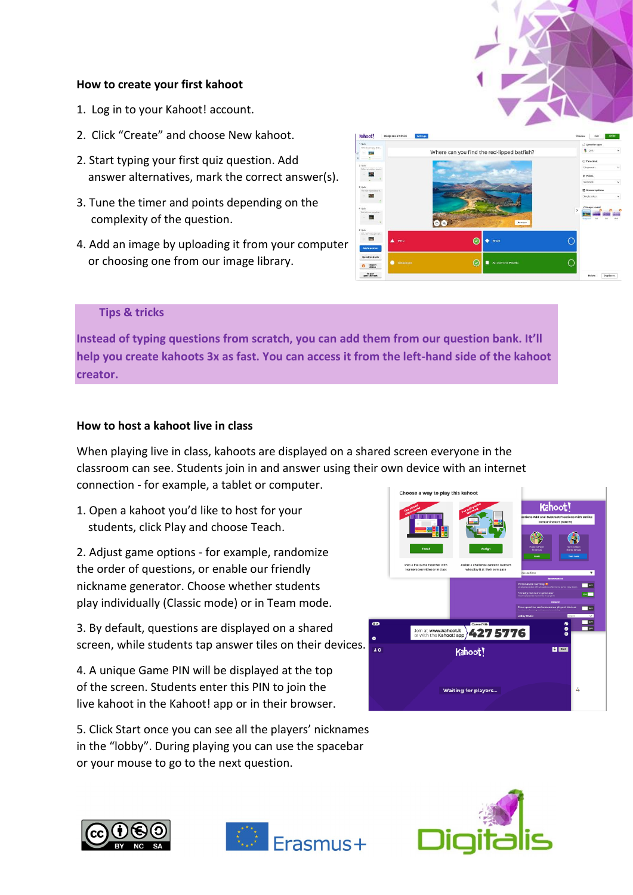# **How to create your first kahoot**

- 1. Log in to your Kahoot! account.
- 2. Click "Create" and choose New kahoot.
- 2. Start typing your first quiz question. Add answer alternatives, mark the correct answer(s).
- 3. Tune the timer and points depending on the complexity of the question.
- 4. Add an image by uploading it from your computer or choosing one from our image library.



#### **Tips & tricks**

**Instead of typing questions from scratch, you can add them from our question bank. It'll help you create kahoots 3x as fast. You can access it from the left-hand side of the kahoot creator.**

# **How to host a kahoot live in class**

When playing live in class, kahoots are displayed on a shared screen everyone in the classroom can see. Students join in and answer using their own device with an internet connection - for example, a tablet or computer.

1. Open a kahoot you'd like to host for your students, click Play and choose Teach.

2. Adjust game options - for example, randomize the order of questions, or enable our friendly nickname generator. Choose whether students play individually (Classic mode) or in Team mode.

3. By default, questions are displayed on a shared screen, while students tap answer tiles on their devices.

4. A unique Game PIN will be displayed at the top of the screen. Students enter this PIN to join the live kahoot in the Kahoot! app or in their browser.

5. Click Start once you can see all the players' nicknames in the "lobby". During playing you can use the spacebar or your mouse to go to the next question.







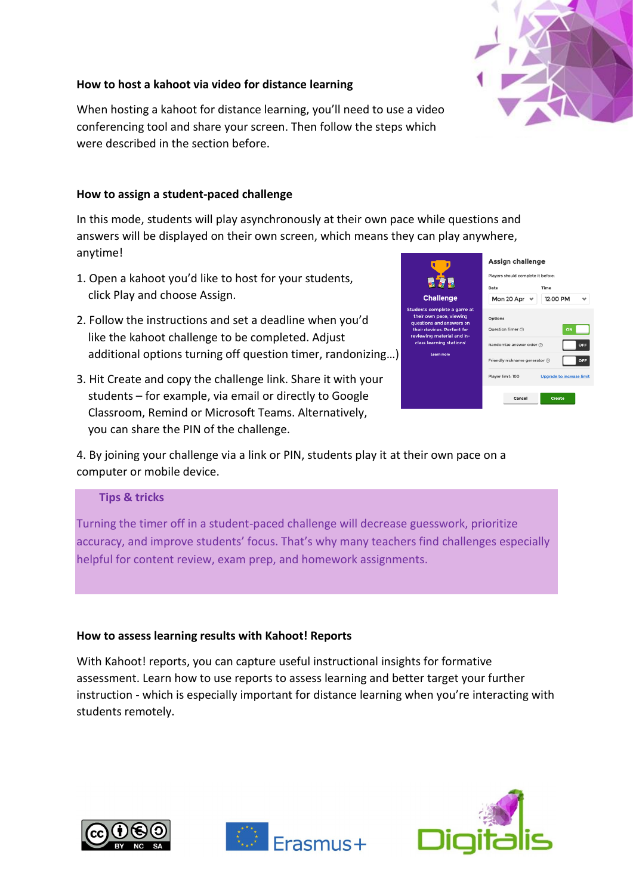

# **How to host a kahoot via video for distance learning**

When hosting a kahoot for distance learning, you'll need to use a video conferencing tool and share your screen. Then follow the steps which were described in the section before.

# **How to assign a student-paced challenge**

In this mode, students will play asynchronously at their own pace while questions and answers will be displayed on their own screen, which means they can play anywhere, anytime!

- 1. Open a kahoot you'd like to host for your students, click Play and choose Assign.
- 2. Follow the instructions and set a deadline when you'd like the kahoot challenge to be completed. Adjust additional options turning off question timer, randonizing…)
- 3. Hit Create and copy the challenge link. Share it with your students – for example, via email or directly to Google Classroom, Remind or Microsoft Teams. Alternatively, you can share the PIN of the challenge.

| $\mathbf{e}$ $\mathbf{e}$ $\mathbf{e}$                                                                                                                                                   | Assign challenge<br>Players should complete it before-      |                           |
|------------------------------------------------------------------------------------------------------------------------------------------------------------------------------------------|-------------------------------------------------------------|---------------------------|
|                                                                                                                                                                                          |                                                             |                           |
|                                                                                                                                                                                          | <b>Challenge</b>                                            | Mon 20 Apr                |
| dents complete a game at<br>their own pace, viewing<br>uestions and answers on<br>heir devices. Perfect for<br>wiewing material and in-<br>class learning stations!<br><b>Learn more</b> | Options<br>Question Timer (?)<br>Randomize answer order (?) | ON<br>OFF                 |
|                                                                                                                                                                                          | Friendly nickname generator (?)<br>OFF                      |                           |
|                                                                                                                                                                                          | Player limit: 100                                           | Upgrade to increase limit |
|                                                                                                                                                                                          | Cancel                                                      | Create                    |
|                                                                                                                                                                                          |                                                             |                           |

4. By joining your challenge via a link or PIN, students play it at their own pace on a computer or mobile device.

#### **Tips & tricks**

Turning the timer off in a student-paced challenge will decrease guesswork, prioritize accuracy, and improve students' focus. That's why many teachers find challenges especially helpful for content review, exam prep, and homework assignments.

# **How to assess learning results with Kahoot! Reports**

With Kahoot! reports, you can capture useful instructional insights for formative assessment. Learn how to use reports to assess learning and better target your further instruction - which is especially important for distance learning when you're interacting with students remotely.